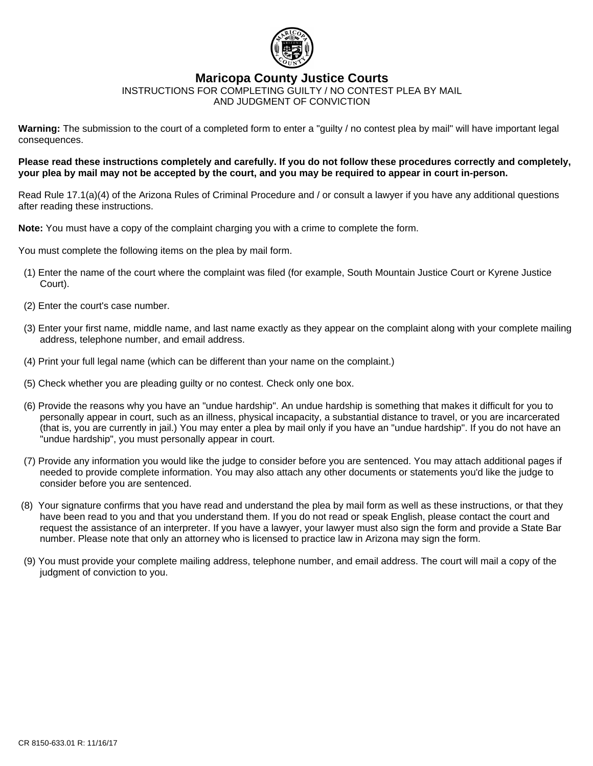

## **Maricopa County Justice Courts**

INSTRUCTIONS FOR COMPLETING GUILTY / NO CONTEST PLEA BY MAIL AND JUDGMENT OF CONVICTION

**Warning:** The submission to the court of a completed form to enter a "guilty / no contest plea by mail" will have important legal consequences.

### **Please read these instructions completely and carefully. If you do not follow these procedures correctly and completely, your plea by mail may not be accepted by the court, and you may be required to appear in court in-person.**

Read Rule 17.1(a)(4) of the Arizona Rules of Criminal Procedure and / or consult a lawyer if you have any additional questions after reading these instructions.

**Note:** You must have a copy of the complaint charging you with a crime to complete the form.

You must complete the following items on the plea by mail form.

- (1) Enter the name of the court where the complaint was filed (for example, South Mountain Justice Court or Kyrene Justice Court).
- (2) Enter the court's case number.
- (3) Enter your first name, middle name, and last name exactly as they appear on the complaint along with your complete mailing address, telephone number, and email address.
- (4) Print your full legal name (which can be different than your name on the complaint.)
- (5) Check whether you are pleading guilty or no contest. Check only one box.
- (6) Provide the reasons why you have an "undue hardship". An undue hardship is something that makes it difficult for you to personally appear in court, such as an illness, physical incapacity, a substantial distance to travel, or you are incarcerated (that is, you are currently in jail.) You may enter a plea by mail only if you have an "undue hardship". If you do not have an "undue hardship", you must personally appear in court.
- (7) Provide any information you would like the judge to consider before you are sentenced. You may attach additional pages if needed to provide complete information. You may also attach any other documents or statements you'd like the judge to consider before you are sentenced.
- (8) Your signature confirms that you have read and understand the plea by mail form as well as these instructions, or that they have been read to you and that you understand them. If you do not read or speak English, please contact the court and request the assistance of an interpreter. If you have a lawyer, your lawyer must also sign the form and provide a State Bar number. Please note that only an attorney who is licensed to practice law in Arizona may sign the form.
- (9) You must provide your complete mailing address, telephone number, and email address. The court will mail a copy of the judgment of conviction to you.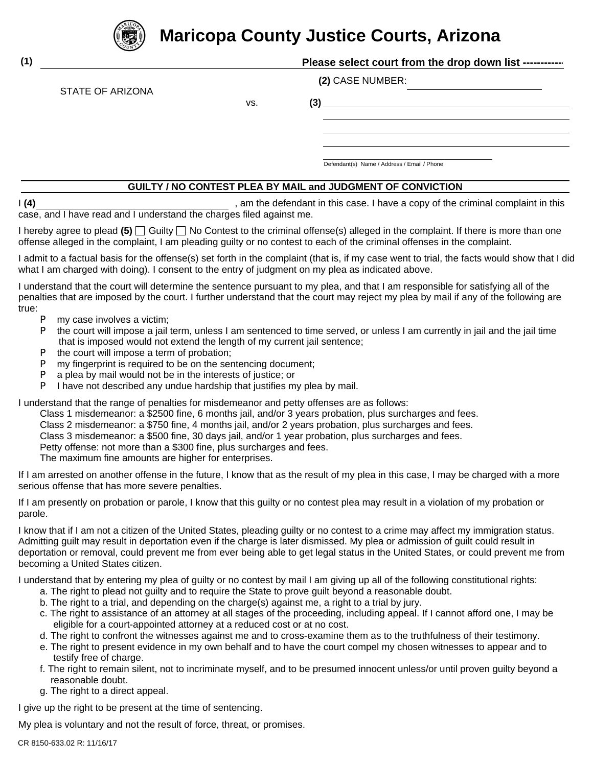

STATE OF ARIZONA

# **Maricopa County Justice Courts, Arizona**

| (2) CASE NUMBER: |
|------------------|
|------------------|

vs. **(3)**

Defendant(s) Name / Address / Email / Phone

## **GUILTY / NO CONTEST PLEA BY MAIL and JUDGMENT OF CONVICTION**

I (4) Fig. 2.1 am the defendant in this case. I have a copy of the criminal complaint in this case, and I have read and I understand the charges filed against me.

I hereby agree to plead  $(5)$   $\Box$  Guilty  $\Box$  No Contest to the criminal offense(s) alleged in the complaint. If there is more than one offense alleged in the complaint, I am pleading guilty or no contest to each of the criminal offenses in the complaint.

I admit to a factual basis for the offense(s) set forth in the complaint (that is, if my case went to trial, the facts would show that I did what I am charged with doing). I consent to the entry of judgment on my plea as indicated above.

I understand that the court will determine the sentence pursuant to my plea, and that I am responsible for satisfying all of the penalties that are imposed by the court. I further understand that the court may reject my plea by mail if any of the following are true:

- P my case involves a victim;
- P the court will impose a jail term, unless I am sentenced to time served, or unless I am currently in jail and the jail time that is imposed would not extend the length of my current jail sentence;
- P the court will impose a term of probation;
- P my fingerprint is required to be on the sentencing document;
- P a plea by mail would not be in the interests of justice; or
- P I have not described any undue hardship that justifies my plea by mail.

I understand that the range of penalties for misdemeanor and petty offenses are as follows:

Class 1 misdemeanor: a \$2500 fine, 6 months jail, and/or 3 years probation, plus surcharges and fees.

Class 2 misdemeanor: a \$750 fine, 4 months jail, and/or 2 years probation, plus surcharges and fees.

Class 3 misdemeanor: a \$500 fine, 30 days jail, and/or 1 year probation, plus surcharges and fees.

Petty offense: not more than a \$300 fine, plus surcharges and fees.

The maximum fine amounts are higher for enterprises.

If I am arrested on another offense in the future, I know that as the result of my plea in this case, I may be charged with a more serious offense that has more severe penalties.

If I am presently on probation or parole, I know that this guilty or no contest plea may result in a violation of my probation or parole.

I know that if I am not a citizen of the United States, pleading guilty or no contest to a crime may affect my immigration status. Admitting guilt may result in deportation even if the charge is later dismissed. My plea or admission of guilt could result in deportation or removal, could prevent me from ever being able to get legal status in the United States, or could prevent me from becoming a United States citizen.

I understand that by entering my plea of guilty or no contest by mail I am giving up all of the following constitutional rights:

- a. The right to plead not guilty and to require the State to prove guilt beyond a reasonable doubt.
- b. The right to a trial, and depending on the charge(s) against me, a right to a trial by jury.
- c. The right to assistance of an attorney at all stages of the proceeding, including appeal. If I cannot afford one, I may be eligible for a court-appointed attorney at a reduced cost or at no cost.
- d. The right to confront the witnesses against me and to cross-examine them as to the truthfulness of their testimony.
- e. The right to present evidence in my own behalf and to have the court compel my chosen witnesses to appear and to testify free of charge.
- f. The right to remain silent, not to incriminate myself, and to be presumed innocent unless/or until proven guilty beyond a reasonable doubt.
- g. The right to a direct appeal.

I give up the right to be present at the time of sentencing.

My plea is voluntary and not the result of force, threat, or promises.

**(1)**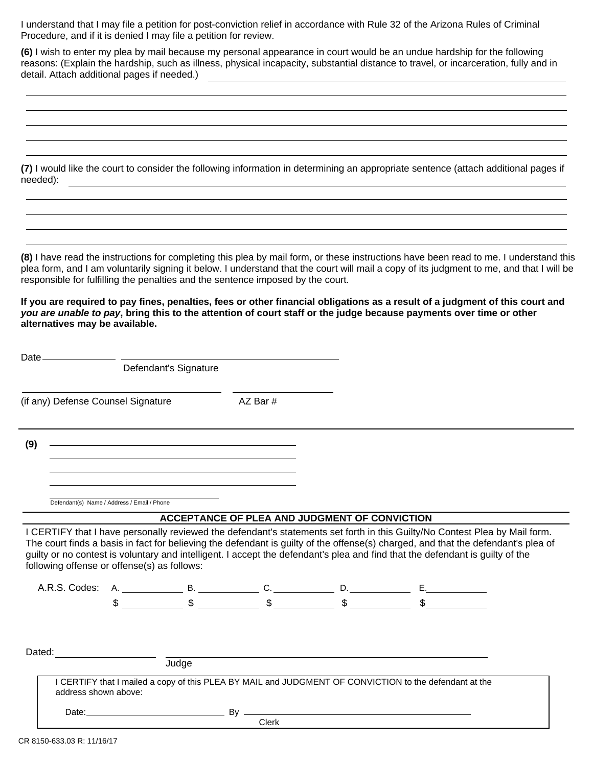I understand that I may file a petition for post-conviction relief in accordance with Rule 32 of the Arizona Rules of Criminal Procedure, and if it is denied I may file a petition for review.

**(6)** I wish to enter my plea by mail because my personal appearance in court would be an undue hardship for the following reasons: (Explain the hardship, such as illness, physical incapacity, substantial distance to travel, or incarceration, fully and in detail. Attach additional pages if needed.) <u> 1989 - Johann Barn, mars ann an t-Amhain Aonaich an t-Aonaich an t-Aonaich ann an t-Aonaich ann an t-Aonaich</u>

**(7)** I would like the court to consider the following information in determining an appropriate sentence (attach additional pages if needed):

**(8)** I have read the instructions for completing this plea by mail form, or these instructions have been read to me. I understand this plea form, and I am voluntarily signing it below. I understand that the court will mail a copy of its judgment to me, and that I will be responsible for fulfilling the penalties and the sentence imposed by the court.

**If you are required to pay fines, penalties, fees or other financial obligations as a result of a judgment of this court and** *you are unable to pay***, bring this to the attention of court staff or the judge because payments over time or other alternatives may be available.**

| Date_                              |                                             |                                                                                                                                                                                                                               |                       |                                               |                                                                                                                                                                                                                                                                    |  |
|------------------------------------|---------------------------------------------|-------------------------------------------------------------------------------------------------------------------------------------------------------------------------------------------------------------------------------|-----------------------|-----------------------------------------------|--------------------------------------------------------------------------------------------------------------------------------------------------------------------------------------------------------------------------------------------------------------------|--|
|                                    |                                             |                                                                                                                                                                                                                               | Defendant's Signature |                                               |                                                                                                                                                                                                                                                                    |  |
| (if any) Defense Counsel Signature |                                             |                                                                                                                                                                                                                               |                       | AZ Bar #                                      |                                                                                                                                                                                                                                                                    |  |
| (9)                                |                                             |                                                                                                                                                                                                                               |                       |                                               |                                                                                                                                                                                                                                                                    |  |
|                                    |                                             |                                                                                                                                                                                                                               |                       |                                               |                                                                                                                                                                                                                                                                    |  |
|                                    | Defendant(s) Name / Address / Email / Phone |                                                                                                                                                                                                                               |                       |                                               |                                                                                                                                                                                                                                                                    |  |
|                                    |                                             |                                                                                                                                                                                                                               |                       | ACCEPTANCE OF PLEA AND JUDGMENT OF CONVICTION |                                                                                                                                                                                                                                                                    |  |
|                                    |                                             |                                                                                                                                                                                                                               |                       |                                               | I CERTIFY that I have personally reviewed the defendant's statements set forth in this Guilty/No Contest Plea by Mail form.                                                                                                                                        |  |
|                                    | following offense or offense(s) as follows: |                                                                                                                                                                                                                               |                       |                                               | The court finds a basis in fact for believing the defendant is guilty of the offense(s) charged, and that the defendant's plea of<br>guilty or no contest is voluntary and intelligent. I accept the defendant's plea and find that the defendant is guilty of the |  |
|                                    |                                             |                                                                                                                                                                                                                               |                       |                                               |                                                                                                                                                                                                                                                                    |  |
| Dated:                             |                                             |                                                                                                                                                                                                                               |                       |                                               |                                                                                                                                                                                                                                                                    |  |
|                                    |                                             | and the state of the state of the state of the state of the state of the state of the state of the state of the state of the state of the state of the state of the state of the state of the state of the state of the state |                       |                                               |                                                                                                                                                                                                                                                                    |  |
|                                    | address shown above:                        |                                                                                                                                                                                                                               |                       |                                               | I CERTIFY that I mailed a copy of this PLEA BY MAIL and JUDGMENT OF CONVICTION to the defendant at the                                                                                                                                                             |  |
|                                    |                                             |                                                                                                                                                                                                                               |                       |                                               |                                                                                                                                                                                                                                                                    |  |